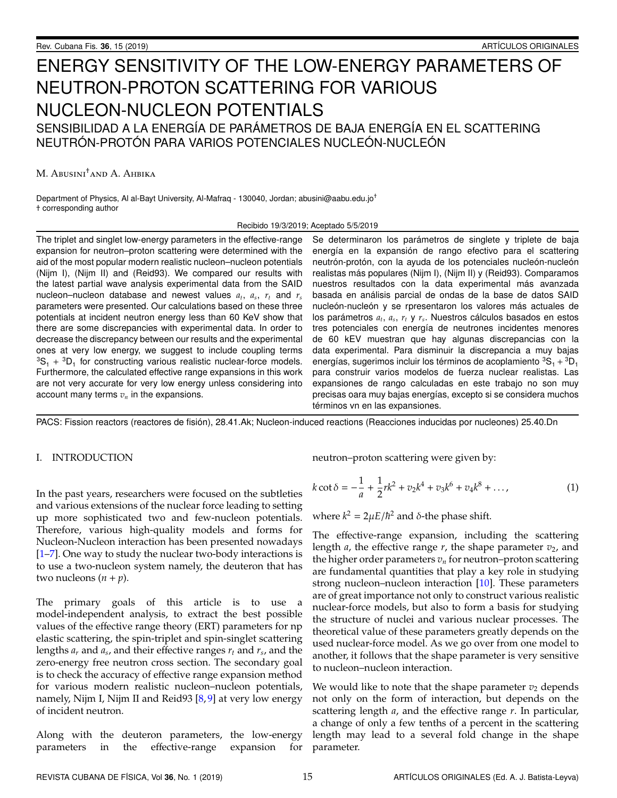# ENERGY SENSITIVITY OF THE LOW-ENERGY PARAMETERS OF NEUTRON-PROTON SCATTERING FOR VARIOUS NUCLEON-NUCLEON POTENTIALS SENSIBILIDAD A LA ENERGÍA DE PARÁMETROS DE BAJA ENERGÍA EN EL SCATTERING

NEUTRÓN-PROTÓN PARA VARIOS POTENCIALES NUCLEÓN-NUCLEÓN

M. Abusini†and A. Ahbika

Department of Physics, Al al-Bayt University, Al-Mafraq - 130040, Jordan; abusini@aabu.edu.jo† † corresponding author

#### Recibido 19/3/2019; Aceptado 5/5/2019

The triplet and singlet low-energy parameters in the effective-range expansion for neutron–proton scattering were determined with the aid of the most popular modern realistic nucleon–nucleon potentials (Nijm I), (Nijm II) and (Reid93). We compared our results with the latest partial wave analysis experimental data from the SAID nucleon–nucleon database and newest values  $a_t$ ,  $a_s$ ,  $r_t$  and  $r_s$ parameters were presented. Our calculations based on these three potentials at incident neutron energy less than 60 KeV show that there are some discrepancies with experimental data. In order to decrease the discrepancy between our results and the experimental ones at very low energy, we suggest to include coupling terms  ${}^{3}S_{1}$  +  ${}^{3}D_{1}$  for constructing various realistic nuclear-force models. Furthermore, the calculated effective range expansions in this work are not very accurate for very low energy unless considering into account many terms  $v_n$  in the expansions.

Se determinaron los parámetros de singlete y triplete de baja energía en la expansión de rango efectivo para el scattering neutrón-protón, con la ayuda de los potenciales nucleón-nucleón realistas más populares (Nijm I), (Nijm II) y (Reid93). Comparamos nuestros resultados con la data experimental más avanzada basada en análisis parcial de ondas de la base de datos SAID nucleón-nucleón y se rpresentaron los valores más actuales de los parámetros  $a_t$ ,  $a_s$ ,  $r_t$  y  $r_s$ . Nuestros cálculos basados en estos tres potenciales con energía de neutrones incidentes menores de 60 kEV muestran que hay algunas discrepancias con la data experimental. Para disminuir la discrepancia a muy bajas energías, sugerimos incluir los términos de acoplamiento  ${}^3\mathrm{S}_1 + {}^3\mathrm{D}_1$ para construir varios modelos de fuerza nuclear realistas. Las expansiones de rango calculadas en este trabajo no son muy precisas oara muy bajas energías, excepto si se considera muchos términos vn en las expansiones.

PACS: Fission reactors (reactores de fision), 28.41.Ak; Nucleon-induced reactions (Reacciones inducidas por nucleones) 25.40.Dn ´

# I. INTRODUCTION

In the past years, researchers were focused on the subtleties and various extensions of the nuclear force leading to setting up more sophisticated two and few-nucleon potentials. Therefore, various high-quality models and forms for Nucleon-Nucleon interaction has been presented nowadays [\[1](#page-4-0)[–7\]](#page-4-1). One way to study the nuclear two-body interactions is to use a two-nucleon system namely, the deuteron that has two nucleons  $(n + p)$ .

The primary goals of this article is to use a model-independent analysis, to extract the best possible values of the effective range theory (ERT) parameters for np elastic scattering, the spin-triplet and spin-singlet scattering lengths *a<sup>r</sup>* and *a<sup>s</sup>* , and their effective ranges *r<sup>t</sup>* and *r<sup>s</sup>* , and the zero-energy free neutron cross section. The secondary goal is to check the accuracy of effective range expansion method for various modern realistic nucleon–nucleon potentials, namely, Nijm I, Nijm II and Reid93  $[8, 9]$  $[8, 9]$  $[8, 9]$  at very low energy of incident neutron.

Along with the deuteron parameters, the low-energy parameters in the effective-range expansion for neutron–proton scattering were given by:

$$
k \cot \delta = -\frac{1}{a} + \frac{1}{2}rk^2 + v_2k^4 + v_3k^6 + v_4k^8 + \dots,
$$
 (1)

where  $k^2 = 2\mu E/\hbar^2$  and  $\delta$ -the phase shift.

The effective-range expansion, including the scattering length *a*, the effective range  $r$ , the shape parameter  $v_2$ , and the higher order parameters  $v_n$  for neutron–proton scattering are fundamental quantities that play a key role in studying strong nucleon–nucleon interaction [\[10\]](#page-4-4). These parameters are of great importance not only to construct various realistic nuclear-force models, but also to form a basis for studying the structure of nuclei and various nuclear processes. The theoretical value of these parameters greatly depends on the used nuclear-force model. As we go over from one model to another, it follows that the shape parameter is very sensitive to nucleon–nucleon interaction.

We would like to note that the shape parameter  $v_2$  depends not only on the form of interaction, but depends on the scattering length *a*, and the effective range *r*. In particular, a change of only a few tenths of a percent in the scattering length may lead to a several fold change in the shape parameter.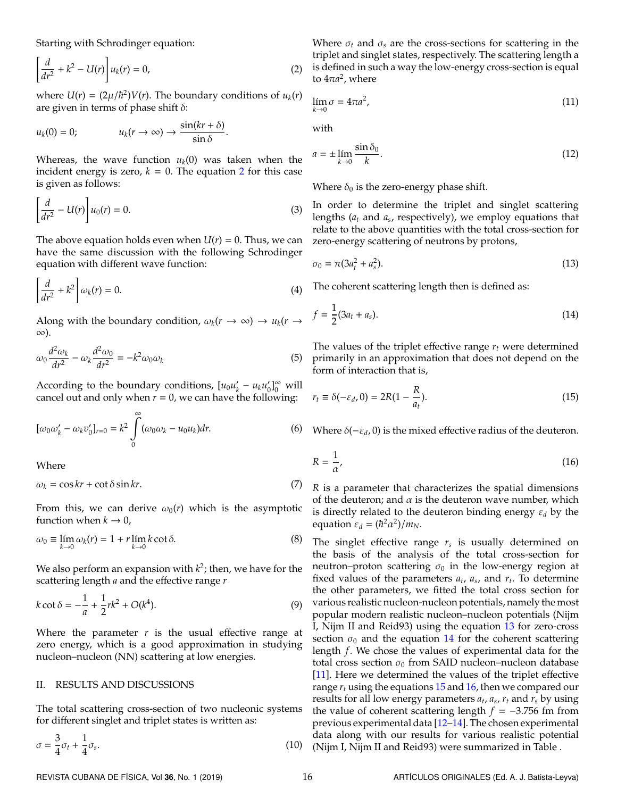Starting with Schrodinger equation:

$$
\left[\frac{d}{dr^2} + k^2 - U(r)\right]u_k(r) = 0,
$$
\n(2)

where  $U(r) = (2\mu/\hbar^2)V(r)$ . The boundary conditions of  $u_k(r)$ are given in terms of phase shift  $\delta$ :

$$
u_k(0) = 0; \qquad u_k(r \to \infty) \to \frac{\sin(kr + \delta)}{\sin \delta}.
$$

Whereas, the wave function  $u_k(0)$  was taken when the incident energy is zero,  $k = 0$ . The equation [2](#page-1-0) for this case is given as follows:

$$
\left[\frac{d}{dr^2} - U(r)\right]u_0(r) = 0.\tag{3}
$$

The above equation holds even when  $U(r) = 0$ . Thus, we can have the same discussion with the following Schrodinger equation with different wave function:

$$
\left[\frac{d}{dr^2} + k^2\right]\omega_k(r) = 0.\tag{4}
$$

Along with the boundary condition,  $\omega_k(r \to \infty) \to u_k(r \to \infty)$ ∞).

$$
\omega_0 \frac{d^2 \omega_k}{dr^2} - \omega_k \frac{d^2 \omega_0}{dr^2} = -k^2 \omega_0 \omega_k \tag{5}
$$

According to the boundary conditions,  $[u_0 u'_k]$  $u_k - u_k u_0$  $\int_0^{\infty}$  will cancel out and only when  $r = 0$ , we can have the following:

$$
[\omega_0 \omega'_k - \omega_k v'_0]_{r=0} = k^2 \int_0^\infty (\omega_0 \omega_k - u_0 u_k) dr.
$$
 (6)

Where

$$
\omega_k = \cos kr + \cot \delta \sin kr. \tag{7}
$$

From this, we can derive  $\omega_0(r)$  which is the asymptotic function when  $k \to 0$ ,

$$
\omega_0 \equiv \lim_{k \to 0} \omega_k(r) = 1 + r \lim_{k \to 0} k \cot \delta. \tag{8}
$$

We also perform an expansion with  $k^2$ ; then, we have for the scattering length *a* and the effective range *r*

$$
k \cot \delta = -\frac{1}{a} + \frac{1}{2}rk^2 + O(k^4).
$$
 (9)

Where the parameter  $r$  is the usual effective range at zero energy, which is a good approximation in studying nucleon–nucleon (NN) scattering at low energies.

#### II. RESULTS AND DISCUSSIONS

The total scattering cross-section of two nucleonic systems for different singlet and triplet states is written as:

$$
\sigma = \frac{3}{4}\sigma_t + \frac{1}{4}\sigma_s. \tag{10}
$$

<span id="page-1-0"></span>Where  $\sigma_t$  and  $\sigma_s$  are the cross-sections for scattering in the triplet and singlet states, respectively. The scattering length a is defined in such a way the low-energy cross-section is equal to  $4\pi a^2$ , where

$$
\lim_{k \to 0} \sigma = 4\pi a^2,\tag{11}
$$

with

$$
a = \pm \lim_{k \to 0} \frac{\sin \delta_0}{k}.
$$
 (12)

Where  $\delta_0$  is the zero-energy phase shift.

In order to determine the triplet and singlet scattering lengths (*a<sup>t</sup>* and *a<sup>s</sup>* , respectively), we employ equations that relate to the above quantities with the total cross-section for zero-energy scattering of neutrons by protons,

<span id="page-1-2"></span><span id="page-1-1"></span>
$$
\sigma_0 = \pi (3a_t^2 + a_s^2). \tag{13}
$$

The coherent scattering length then is defined as:

$$
f = \frac{1}{2}(3a_t + a_s). \tag{14}
$$

The values of the triplet effective range *r<sup>t</sup>* were determined primarily in an approximation that does not depend on the form of interaction that is,

<span id="page-1-3"></span>
$$
r_t \equiv \delta(-\varepsilon_d, 0) = 2R(1 - \frac{R}{a_t}).
$$
\n(15)

<span id="page-1-4"></span>Where  $\delta(-\varepsilon_d, 0)$  is the mixed effective radius of the deuteron.

$$
R = \frac{1}{\alpha'},\tag{16}
$$

*R* is a parameter that characterizes the spatial dimensions of the deuteron; and  $\alpha$  is the deuteron wave number, which is directly related to the deuteron binding energy ε*<sup>d</sup>* by the equation  $\varepsilon_d = (\hbar^2 \alpha^2)/m_N$ .

The singlet effective range *r<sup>s</sup>* is usually determined on the basis of the analysis of the total cross-section for neutron–proton scattering  $\sigma_0$  in the low-energy region at fixed values of the parameters  $a_t$ ,  $a_s$ , and  $r_t$ . To determine the other parameters, we fitted the total cross section for various realistic nucleon-nucleon potentials, namely the most popular modern realistic nucleon–nucleon potentials (Nijm I, Nijm II and Reid93) using the equation [13](#page-1-1) for zero-cross section  $\sigma_0$  and the equation [14](#page-1-2) for the coherent scattering length *f*. We chose the values of experimental data for the total cross section  $\sigma_0$  from SAID nucleon–nucleon database [\[11\]](#page-4-5). Here we determined the values of the triplet effective range  $r_t$  using the equations  $15$  and  $16$ , then we compared our results for all low energy parameters *a<sup>t</sup>* , *a<sup>s</sup>* , *r<sup>t</sup>* and *r<sup>s</sup>* by using the value of coherent scattering length *f* = −3.756 fm from previous experimental data [\[12](#page-4-6)[–14\]](#page-4-7). The chosen experimental data along with our results for various realistic potential (Nijm I, Nijm II and Reid93) were summarized in Table .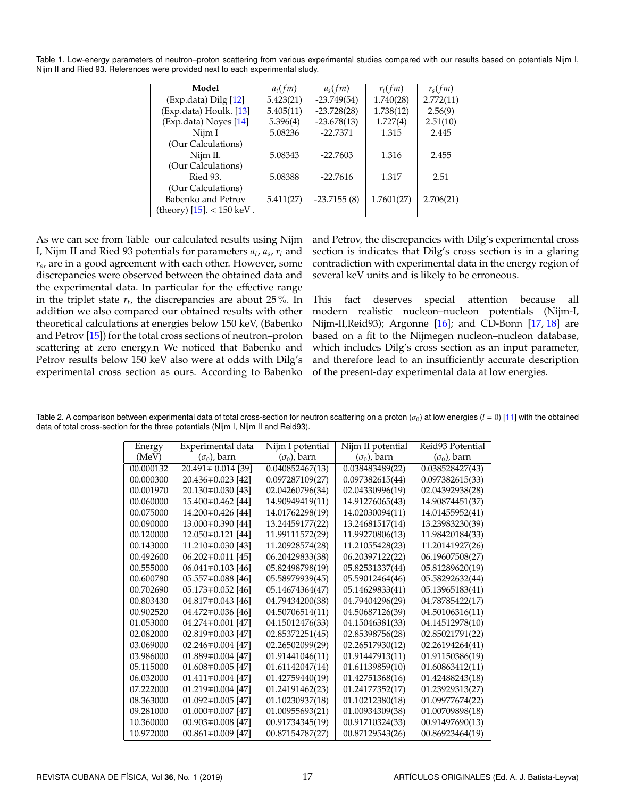Table 1. Low-energy parameters of neutron–proton scattering from various experimental studies compared with our results based on potentials Nijm I, Nijm II and Ried 93. References were provided next to each experimental study.

| Model                       | $a_t$ (fm) | $a_s$ (fm)    | $r_t$ (fm) | $r_{\rm s}(fm)$ |
|-----------------------------|------------|---------------|------------|-----------------|
| (Exp.data) Dilg [12]        | 5.423(21)  | $-23.749(54)$ | 1.740(28)  | 2.772(11)       |
| (Exp.data) Houlk. [13]      | 5.405(11)  | $-23.728(28)$ | 1.738(12)  | 2.56(9)         |
| (Exp.data) Noyes [14]       | 5.396(4)   | $-23.678(13)$ | 1.727(4)   | 2.51(10)        |
| Nijm I                      | 5.08236    | $-22.7371$    | 1.315      | 2.445           |
| (Our Calculations)          |            |               |            |                 |
| Nijm II.                    | 5.08343    | $-22.7603$    | 1.316      | 2.455           |
| (Our Calculations)          |            |               |            |                 |
| Ried 93.                    | 5.08388    | $-22.7616$    | 1.317      | 2.51            |
| (Our Calculations)          |            |               |            |                 |
| Babenko and Petrov          | 5.411(27)  | $-23.7155(8)$ | 1.7601(27) | 2.706(21)       |
| (theory) [15]. $<$ 150 keV. |            |               |            |                 |

As we can see from Table our calculated results using Nijm I, Nijm II and Ried 93 potentials for parameters *a<sup>t</sup>* , *a<sup>s</sup>* , *r<sup>t</sup>* and *rs* , are in a good agreement with each other. However, some discrepancies were observed between the obtained data and the experimental data. In particular for the effective range in the triplet state  $r_t$ , the discrepancies are about 25 %. In addition we also compared our obtained results with other theoretical calculations at energies below 150 keV, (Babenko and Petrov [\[15\]](#page-4-9)) for the total cross sections of neutron–proton scattering at zero energy.n We noticed that Babenko and Petrov results below 150 keV also were at odds with Dilg's experimental cross section as ours. According to Babenko

and Petrov, the discrepancies with Dilg's experimental cross section is indicates that Dilg's cross section is in a glaring contradiction with experimental data in the energy region of several keV units and is likely to be erroneous.

This fact deserves special attention because all modern realistic nucleon–nucleon potentials (Nijm-I, Nijm-II,Reid93); Argonne [\[16\]](#page-4-10); and CD-Bonn [\[17,](#page-4-11) [18\]](#page-4-12) are based on a fit to the Nijmegen nucleon–nucleon database, which includes Dilg's cross section as an input parameter, and therefore lead to an insufficiently accurate description of the present-day experimental data at low energies.

Table 2. A comparison between experimental data of total cross-section for neutron scattering on a proton  $(\sigma_0)$  at low energies  $(l = 0)$  [\[11\]](#page-4-5) with the obtained data of total cross-section for the three potentials (Nijm I, Nijm II and Reid93).

| Energy    | Experimental data       | Nijm I potential    | Nijm II potential   | Reid93 Potential    |
|-----------|-------------------------|---------------------|---------------------|---------------------|
| (MeV)     | $(\sigma_0)$ , barn     | $(\sigma_0)$ , barn | $(\sigma_0)$ , barn | $(\sigma_0)$ , barn |
| 00.000132 | 20.491 $\mp$ 0.014 [39] | 0.040852467(13)     | 0.038483489(22)     | 0.038528427(43)     |
| 00.000300 | 20.436 $\mp$ 0.023 [42] | 0.097287109(27)     | 0.097382615(44)     | 0.097382615(33)     |
| 00.001970 | 20.130 $\mp$ 0.030 [43] | 02.04260796(34)     | 02.04330996(19)     | 02.04392938(28)     |
| 00.060000 | 15.400 $\mp$ 0.462 [44] | 14.90949419(11)     | 14.91276065(43)     | 14.90874451(37)     |
| 00.075000 | 14.200∓0.426 [44]       | 14.01762298(19)     | 14.02030094(11)     | 14.01455952(41)     |
| 00.090000 | 13.000∓0.390 [44]       | 13.24459177(22)     | 13.24681517(14)     | 13.23983230(39)     |
| 00.120000 | 12.050∓0.121  44        | 11.99111572(29)     | 11.99270806(13)     | 11.98420184(33)     |
| 00.143000 | 11.210∓0.030 [43]       | 11.20928574(28)     | 11.21055428(23)     | 11.20141927(26)     |
| 00.492600 | $06.202 \pm 0.011$ [45] | 06.20429833(38)     | 06.20397122(22)     | 06.19607508(27)     |
| 00.555000 | $06.041 \pm 0.103$ [46] | 05.82498798(19)     | 05.82531337(44)     | 05.81289620(19)     |
| 00.600780 | $05.557 \pm 0.088$ [46] | 05.58979939(45)     | 05.59012464(46)     | 05.58292632(44)     |
| 00.702690 | $05.173 \pm 0.052$ [46] | 05.14674364(47)     | 05.14629833(41)     | 05.13965183(41)     |
| 00.803430 | 04.817 $\mp$ 0.043 [46] | 04.79434200(38)     | 04.79404296(29)     | 04.78785422(17)     |
| 00.902520 | 04.472 $\mp$ 0.036 [46] | 04.50706514(11)     | 04.50687126(39)     | 04.50106316(11)     |
| 01.053000 | $04.274 \pm 0.001$ [47] | 04.15012476(33)     | 04.15046381(33)     | 04.14512978(10)     |
| 02.082000 | $02.819 \pm 0.003$ [47] | 02.85372251(45)     | 02.85398756(28)     | 02.85021791(22)     |
| 03.069000 | 02.246 $\mp$ 0.004 [47] | 02.26502099(29)     | 02.26517930(12)     | 02.26194264(41)     |
| 03.986000 | $01.889 \pm 0.004$ [47] | 01.91441046(11)     | 01.91447913(11)     | 01.91150386(19)     |
| 05.115000 | $01.608 \pm 0.005$ [47] | 01.61142047(14)     | 01.61139859(10)     | 01.60863412(11)     |
| 06.032000 | $01.411 \pm 0.004$ [47] | 01.42759440(19)     | 01.42751368(16)     | 01.42488243(18)     |
| 07.222000 | $01.219 \pm 0.004$ [47] | 01.24191462(23)     | 01.24177352(17)     | 01.23929313(27)     |
| 08.363000 | $01.092 \pm 0.005$ [47] | 01.10230937(18)     | 01.10212380(18)     | 01.09977674(22)     |
| 09.281000 | $01.000 \pm 0.007$ [47] | 01.00955693(21)     | 01.00934309(38)     | 01.00709898(18)     |
| 10.360000 | $00.903 \pm 0.008$ [47] | 00.91734345(19)     | 00.91710324(33)     | 00.91497690(13)     |
| 10.972000 | $00.861 \pm 0.009$ [47] | 00.87154787(27)     | 00.87129543(26)     | 00.86923464(19)     |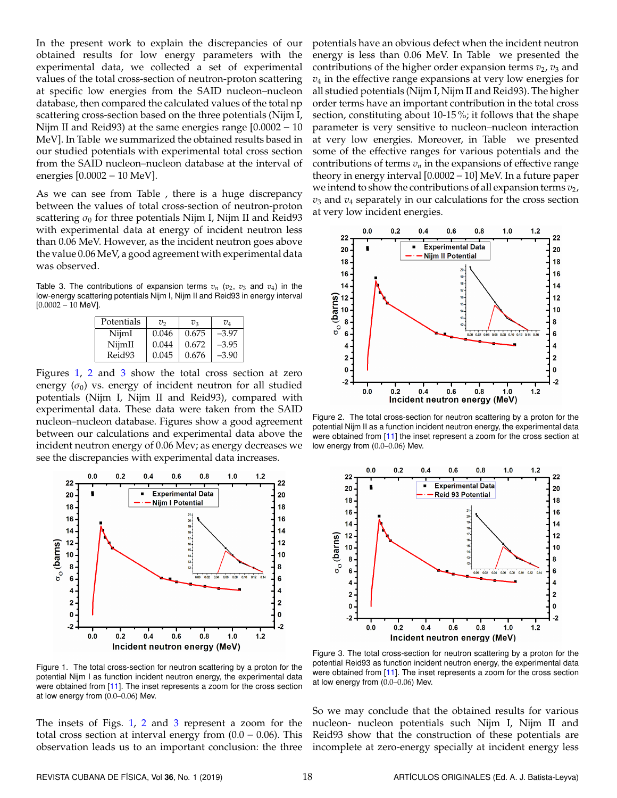In the present work to explain the discrepancies of our obtained results for low energy parameters with the experimental data, we collected a set of experimental values of the total cross-section of neutron-proton scattering at specific low energies from the SAID nucleon–nucleon database, then compared the calculated values of the total np scattering cross-section based on the three potentials (Nijm I, Nijm II and Reid93) at the same energies range [0.0002 − 10 MeV]. In Table we summarized the obtained results based in our studied potentials with experimental total cross section from the SAID nucleon–nucleon database at the interval of energies [0.0002 − 10 MeV].

As we can see from Table , there is a huge discrepancy between the values of total cross-section of neutron-proton scattering  $\sigma_0$  for three potentials Nijm I, Nijm II and Reid93 with experimental data at energy of incident neutron less than 0.06 MeV. However, as the incident neutron goes above the value 0.06 MeV, a good agreement with experimental data was observed.

Table 3. The contributions of expansion terms  $v_n$  ( $v_2$ ,  $v_3$  and  $v_4$ ) in the low-energy scattering potentials Nijm I, Nijm II and Reid93 in energy interval [0.0002 − 10 MeV].

| Potentials | $v_{2}$ | $v_{3}$ | $v_{\scriptscriptstyle 4}$ |
|------------|---------|---------|----------------------------|
| NijmI      | 0.046   | 0.675   | $-3.97$                    |
| NijmII     | 0.044   | 0.672   | $-3.95$                    |
| Reid93     | 0.045   | 0.676   | $-3.90$                    |

Figures [1,](#page-3-0) [2](#page-3-1) and [3](#page-3-2) show the total cross section at zero energy  $(\sigma_0)$  vs. energy of incident neutron for all studied potentials (Nijm I, Nijm II and Reid93), compared with experimental data. These data were taken from the SAID nucleon–nucleon database. Figures show a good agreement between our calculations and experimental data above the incident neutron energy of 0.06 Mev; as energy decreases we see the discrepancies with experimental data increases.

<span id="page-3-0"></span>

Figure 1. The total cross-section for neutron scattering by a proton for the potential Nijm I as function incident neutron energy, the experimental data were obtained from [\[11\]](#page-4-5). The inset represents a zoom for the cross section at low energy from (0.0–0.06) Mev.

The insets of Figs. [1,](#page-3-0) [2](#page-3-1) and [3](#page-3-2) represent a zoom for the total cross section at interval energy from  $(0.0 - 0.06)$ . This observation leads us to an important conclusion: the three potentials have an obvious defect when the incident neutron energy is less than 0.06 MeV. In Table we presented the contributions of the higher order expansion terms  $v_2$ ,  $v_3$  and *v*<sup>4</sup> in the effective range expansions at very low energies for all studied potentials (Nijm I, Nijm II and Reid93). The higher order terms have an important contribution in the total cross section, constituting about 10-15 %; it follows that the shape parameter is very sensitive to nucleon–nucleon interaction at very low energies. Moreover, in Table we presented some of the effective ranges for various potentials and the contributions of terms  $v_n$  in the expansions of effective range theory in energy interval [0.0002−10] MeV. In a future paper we intend to show the contributions of all expansion terms  $v_2$ , *v*<sup>3</sup> and *v*<sup>4</sup> separately in our calculations for the cross section at very low incident energies.

<span id="page-3-1"></span>

Figure 2. The total cross-section for neutron scattering by a proton for the potential Nijm II as a function incident neutron energy, the experimental data were obtained from [\[11\]](#page-4-5) the inset represent a zoom for the cross section at low energy from (0.0–0.06) Mev.

<span id="page-3-2"></span>

Figure 3. The total cross-section for neutron scattering by a proton for the potential Reid93 as function incident neutron energy, the experimental data were obtained from [\[11\]](#page-4-5). The inset represents a zoom for the cross section at low energy from (0.0–0.06) Mev.

So we may conclude that the obtained results for various nucleon- nucleon potentials such Nijm I, Nijm II and Reid93 show that the construction of these potentials are incomplete at zero-energy specially at incident energy less